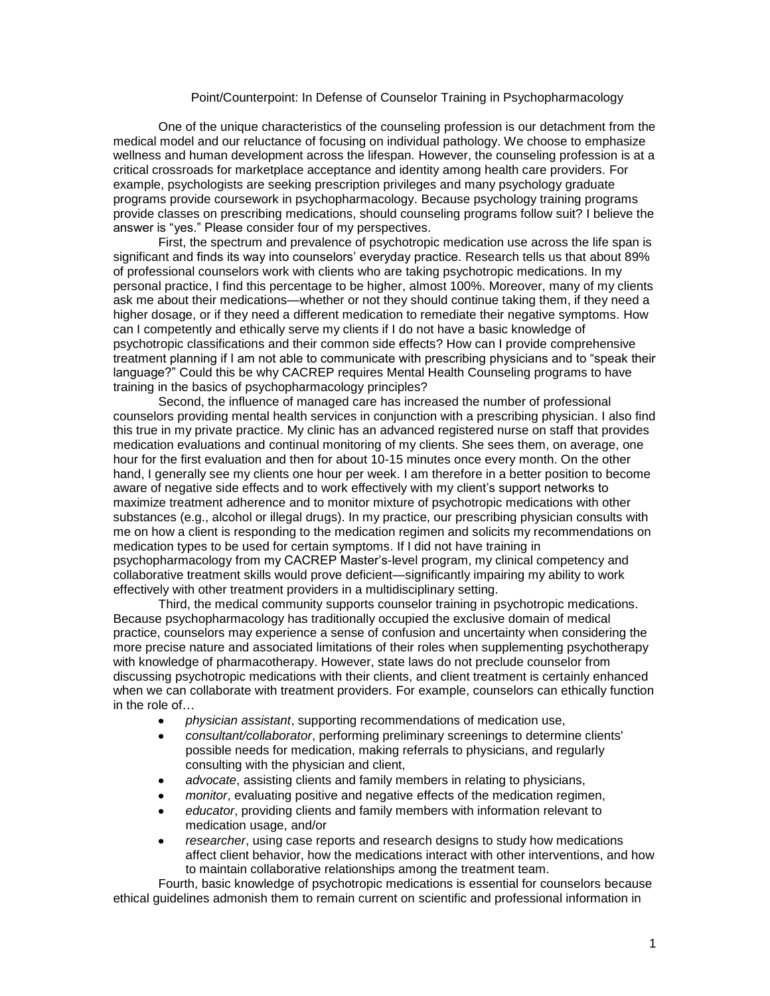## Point/Counterpoint: In Defense of Counselor Training in Psychopharmacology

One of the unique characteristics of the counseling profession is our detachment from the medical model and our reluctance of focusing on individual pathology. We choose to emphasize wellness and human development across the lifespan. However, the counseling profession is at a critical crossroads for marketplace acceptance and identity among health care providers. For example, psychologists are seeking prescription privileges and many psychology graduate programs provide coursework in psychopharmacology. Because psychology training programs provide classes on prescribing medications, should counseling programs follow suit? I believe the answer is "yes." Please consider four of my perspectives.

First, the spectrum and prevalence of psychotropic medication use across the life span is significant and finds its way into counselors' everyday practice. Research tells us that about 89% of professional counselors work with clients who are taking psychotropic medications. In my personal practice, I find this percentage to be higher, almost 100%. Moreover, many of my clients ask me about their medications—whether or not they should continue taking them, if they need a higher dosage, or if they need a different medication to remediate their negative symptoms. How can I competently and ethically serve my clients if I do not have a basic knowledge of psychotropic classifications and their common side effects? How can I provide comprehensive treatment planning if I am not able to communicate with prescribing physicians and to "speak their language?" Could this be why CACREP requires Mental Health Counseling programs to have training in the basics of psychopharmacology principles?

Second, the influence of managed care has increased the number of professional counselors providing mental health services in conjunction with a prescribing physician. I also find this true in my private practice. My clinic has an advanced registered nurse on staff that provides medication evaluations and continual monitoring of my clients. She sees them, on average, one hour for the first evaluation and then for about 10-15 minutes once every month. On the other hand, I generally see my clients one hour per week. I am therefore in a better position to become aware of negative side effects and to work effectively with my client's support networks to maximize treatment adherence and to monitor mixture of psychotropic medications with other substances (e.g., alcohol or illegal drugs). In my practice, our prescribing physician consults with me on how a client is responding to the medication regimen and solicits my recommendations on medication types to be used for certain symptoms. If I did not have training in psychopharmacology from my CACREP Master's-level program, my clinical competency and collaborative treatment skills would prove deficient—significantly impairing my ability to work effectively with other treatment providers in a multidisciplinary setting.

Third, the medical community supports counselor training in psychotropic medications. Because psychopharmacology has traditionally occupied the exclusive domain of medical practice, counselors may experience a sense of confusion and uncertainty when considering the more precise nature and associated limitations of their roles when supplementing psychotherapy with knowledge of pharmacotherapy. However, state laws do not preclude counselor from discussing psychotropic medications with their clients, and client treatment is certainly enhanced when we can collaborate with treatment providers. For example, counselors can ethically function in the role of

- *physician assistant*, supporting recommendations of medication use,
- *consultant/collaborator*, performing preliminary screenings to determine clients' possible needs for medication, making referrals to physicians, and regularly consulting with the physician and client,
- *advocate*, assisting clients and family members in relating to physicians,
- *monitor*, evaluating positive and negative effects of the medication regimen,
- *educator*, providing clients and family members with information relevant to medication usage, and/or
- *researcher*, using case reports and research designs to study how medications affect client behavior, how the medications interact with other interventions, and how to maintain collaborative relationships among the treatment team.

Fourth, basic knowledge of psychotropic medications is essential for counselors because ethical guidelines admonish them to remain current on scientific and professional information in